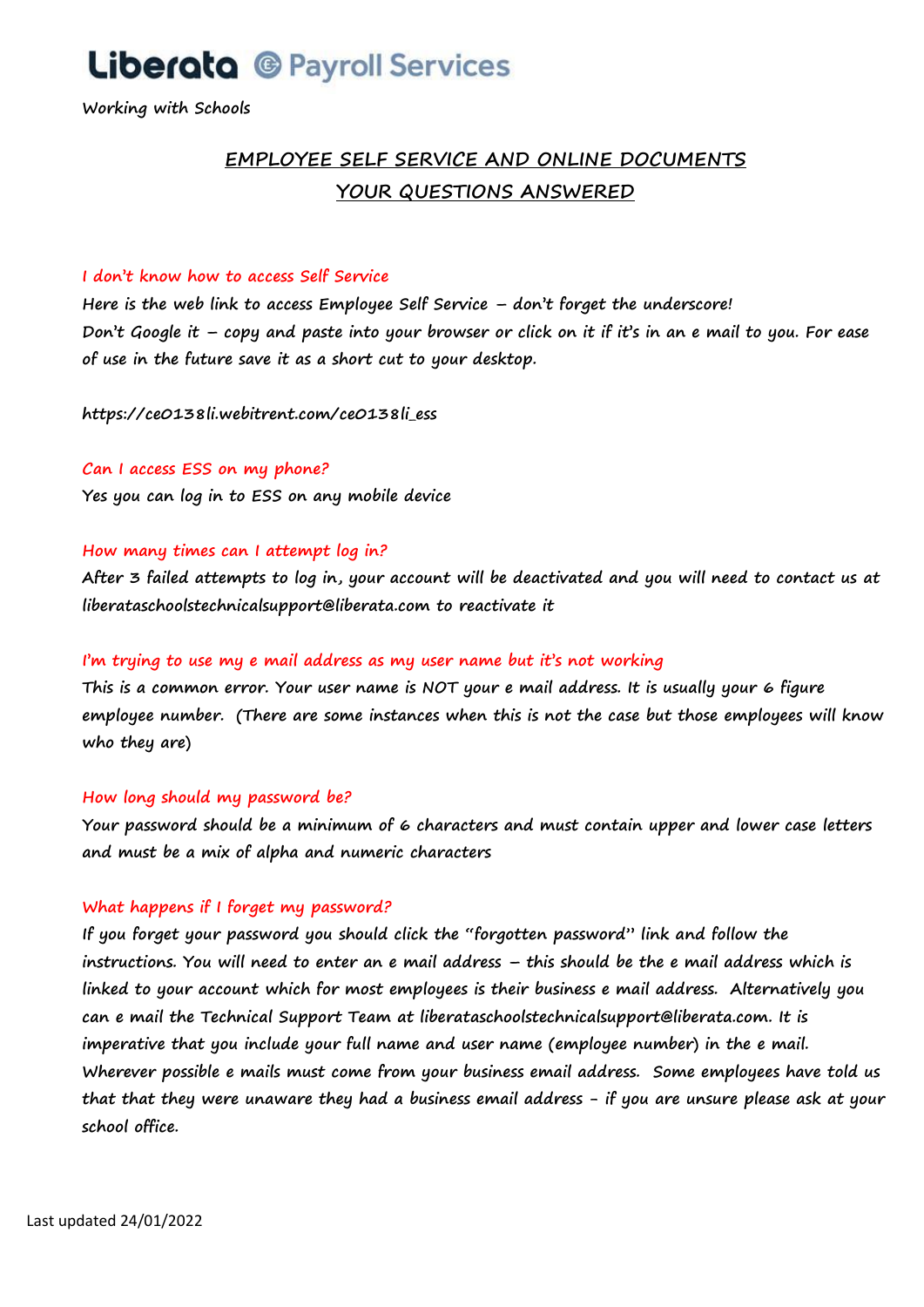# **Liberata @ Payroll Services**

**Working with Schools**

# **EMPLOYEE SELF SERVICE AND ONLINE DOCUMENTS YOUR QUESTIONS ANSWERED**

#### **I don't know how to access Self Service**

**Here is the web link to access Employee Self Service – don't forget the underscore! Don't Google it – copy and paste into your browser or click on it if it's in an e mail to you. For ease of use in the future save it as a short cut to your desktop.** 

**https://ce0138li.webitrent.com/ce0138li\_ess** 

# **Can I access ESS on my phone?**

**Yes you can log in to ESS on any mobile device**

# **How many times can I attempt log in?**

**After 3 failed attempts to log in, your account will be deactivated and you will need to contact us at liberataschoolstechnicalsupport@liberata.com to reactivate it**

### **I'm trying to use my e mail address as my user name but it's not working**

**This is a common error. Your user name is NOT your e mail address. It is usually your 6 figure employee number. (There are some instances when this is not the case but those employees will know who they are)** 

#### **How long should my password be?**

**Your password should be a minimum of 6 characters and must contain upper and lower case letters and must be a mix of alpha and numeric characters** 

# **What happens if I forget my password?**

**If you forget your password you should click the "forgotten password" link and follow the instructions. You will need to enter an e mail address – this should be the e mail address which is linked to your account which for most employees is their business e mail address. Alternatively you can e mail the Technical Support Team at liberataschoolstechnicalsupport@liberata.com. It is imperative that you include your full name and user name (employee number) in the e mail. Wherever possible e mails must come from your business email address. Some employees have told us that that they were unaware they had a business email address - if you are unsure please ask at your school office.**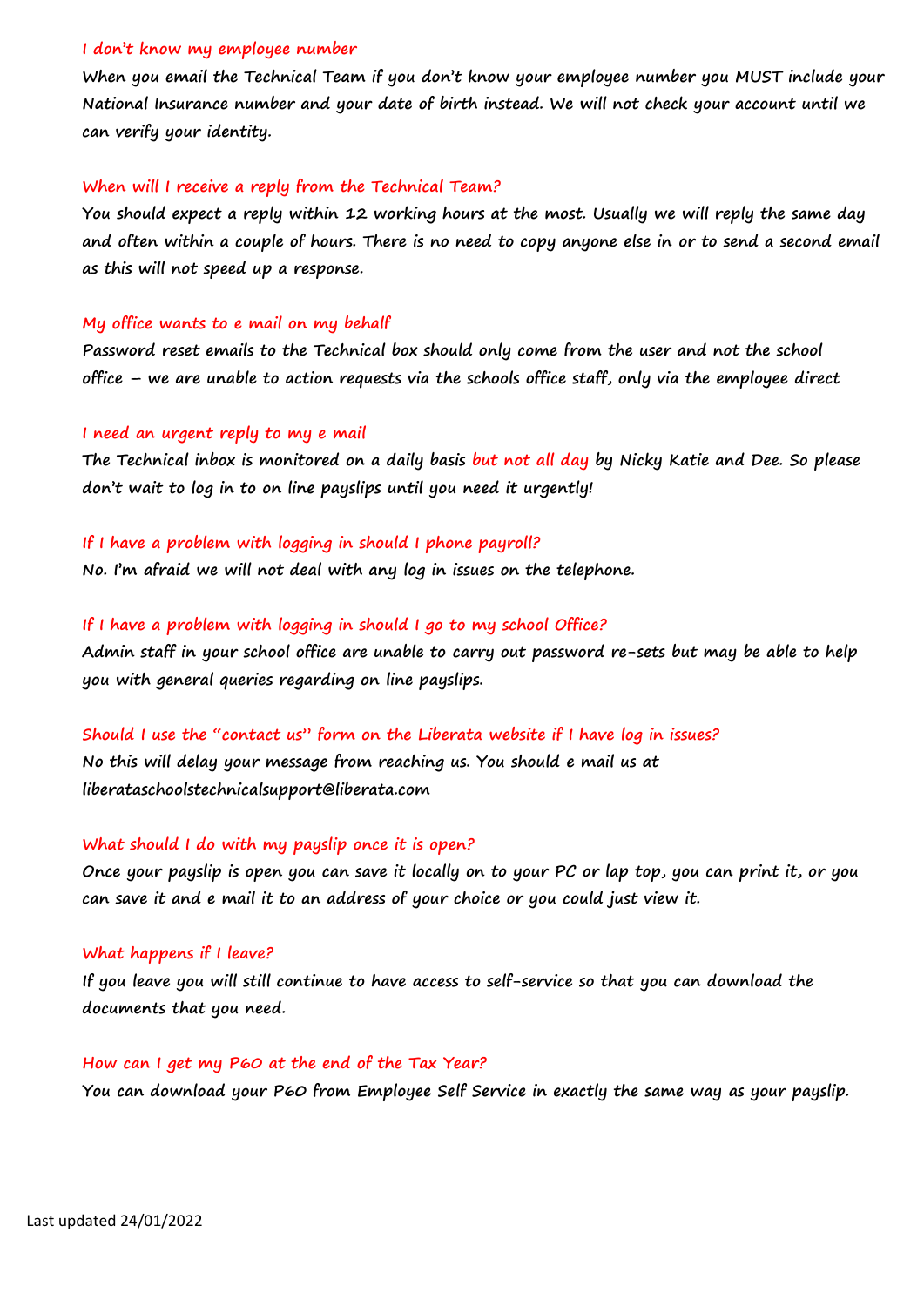#### **I don't know my employee number**

**When you email the Technical Team if you don't know your employee number you MUST include your National Insurance number and your date of birth instead. We will not check your account until we can verify your identity.** 

#### **When will I receive a reply from the Technical Team?**

**You should expect a reply within 12 working hours at the most. Usually we will reply the same day and often within a couple of hours. There is no need to copy anyone else in or to send a second email as this will not speed up a response.** 

#### **My office wants to e mail on my behalf**

**Password reset emails to the Technical box should only come from the user and not the school office – we are unable to action requests via the schools office staff, only via the employee direct**

#### **I need an urgent reply to my e mail**

**The Technical inbox is monitored on a daily basis but not all day by Nicky Katie and Dee. So please don't wait to log in to on line payslips until you need it urgently!**

#### **If I have a problem with logging in should I phone payroll?**

**No. I'm afraid we will not deal with any log in issues on the telephone.** 

#### **If I have a problem with logging in should I go to my school Office?**

**Admin staff in your school office are unable to carry out password re-sets but may be able to help you with general queries regarding on line payslips.**

# **Should I use the "contact us" form on the Liberata website if I have log in issues? No this will delay your message from reaching us. You should e mail us at liberataschoolstechnicalsupport@liberata.com**

#### **What should I do with my payslip once it is open?**

**Once your payslip is open you can save it locally on to your PC or lap top, you can print it, or you can save it and e mail it to an address of your choice or you could just view it.** 

#### **What happens if I leave?**

**If you leave you will still continue to have access to self-service so that you can download the documents that you need.**

#### **How can I get my P60 at the end of the Tax Year?**

**You can download your P60 from Employee Self Service in exactly the same way as your payslip.**